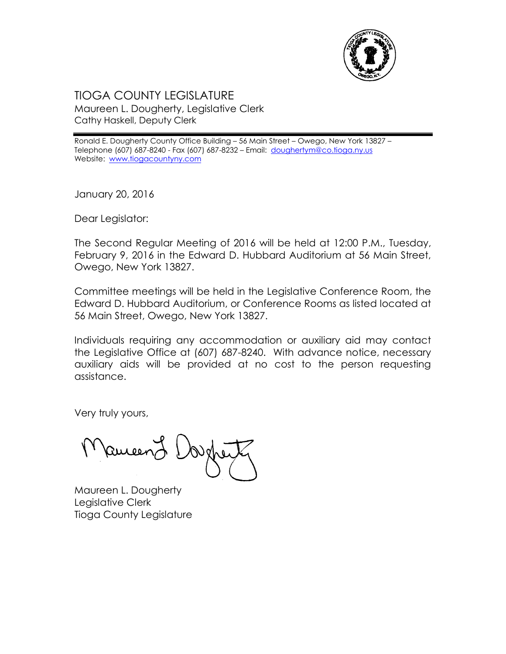

## TIOGA COUNTY LEGISLATURE Maureen L. Dougherty, Legislative Clerk Cathy Haskell, Deputy Clerk

Ronald E. Dougherty County Office Building – 56 Main Street – Owego, New York 13827 – Telephone (607) 687-8240 - Fax (607) 687-8232 – Email: doughertym@co.tioga.ny.us Website: [www.tiogacountyny.com](http://www.tiogacountyny.com/)

January 20, 2016

Dear Legislator:

The Second Regular Meeting of 2016 will be held at 12:00 P.M., Tuesday, February 9, 2016 in the Edward D. Hubbard Auditorium at 56 Main Street, Owego, New York 13827.

Committee meetings will be held in the Legislative Conference Room, the Edward D. Hubbard Auditorium, or Conference Rooms as listed located at 56 Main Street, Owego, New York 13827.

Individuals requiring any accommodation or auxiliary aid may contact the Legislative Office at (607) 687-8240. With advance notice, necessary auxiliary aids will be provided at no cost to the person requesting assistance.

Very truly yours,

Ruceer

Maureen L. Dougherty Legislative Clerk Tioga County Legislature